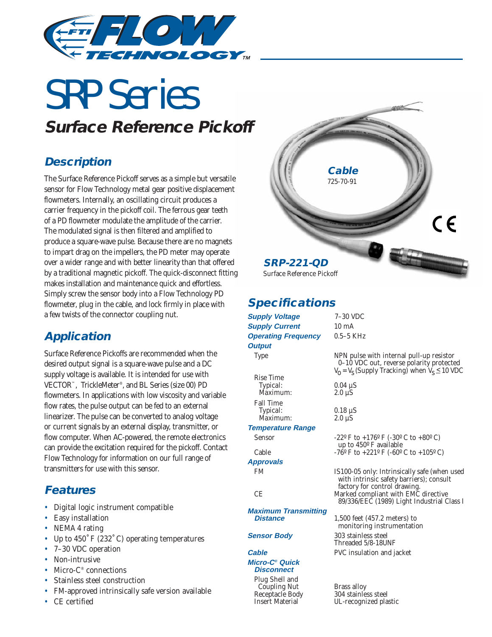

# SRP Series **Surface Reference Pickoff**

### **Description**

The Surface Reference Pickoff serves as a simple but versatile sensor for Flow Technology metal gear positive displacement flowmeters. Internally, an oscillating circuit produces a carrier frequency in the pickoff coil. The ferrous gear teeth of a PD flowmeter modulate the amplitude of the carrier. The modulated signal is then filtered and amplified to produce a square-wave pulse. Because there are no magnets to impart drag on the impellers, the PD meter may operate over a wider range and with better linearity than that offered by a traditional magnetic pickoff. The quick-disconnect fitting makes installation and maintenance quick and effortless. Simply screw the sensor body into a Flow Technology PD flowmeter, plug in the cable, and lock firmly in place with a few twists of the connector coupling nut.

#### **Application**

Surface Reference Pickoffs are recommended when the desired output signal is a square-wave pulse and a DC supply voltage is available. It is intended for use with VECTOR™, TrickleMeter®, and BL Series (size 00) PD flowmeters. In applications with low viscosity and variable flow rates, the pulse output can be fed to an external linearizer. The pulse can be converted to analog voltage or current signals by an external display, transmitter, or flow computer. When AC-powered, the remote electronics can provide the excitation required for the pickoff. Contact Flow Technology for information on our full range of transmitters for use with this sensor.

# **Features**

- Digital logic instrument compatible
- Easy installation
- NEMA 4 rating
- Up to 450˚ F (232˚ C) operating temperatures
- 7–30 VDC operation
- Non-intrusive
- Micro- $C^*$  connections
- Stainless steel construction
- FM-approved intrinsically safe version available
- CE certified



### **Specifications**

| <b>Supply Voltage</b>                           | $7-30$ VDC                                                                                                                                  |
|-------------------------------------------------|---------------------------------------------------------------------------------------------------------------------------------------------|
| <b>Supply Current</b>                           | $10 \text{ mA}$                                                                                                                             |
| <b>Operating Frequency</b>                      | $0.5-5$ KHz                                                                                                                                 |
| <b>Output</b>                                   |                                                                                                                                             |
|                                                 |                                                                                                                                             |
| <b>Type</b>                                     | NPN pulse with internal pull-up resistor<br>0-10 VDC out, reverse polarity protected<br>$V_0 = V_s$ (Supply Tracking) when $V_s \le 10$ VDC |
| <b>Rise Time</b>                                |                                                                                                                                             |
| Typical:                                        | $0.04 \mu S$                                                                                                                                |
| Maximum:                                        | $2.0 \mu S$                                                                                                                                 |
| <b>Fall Time</b>                                |                                                                                                                                             |
| Typical:                                        | $0.18 \mu S$                                                                                                                                |
| <i>Maximum:</i>                                 | $2.0 \mu S$                                                                                                                                 |
| <b>Temperature Range</b>                        |                                                                                                                                             |
| <b>Sensor</b>                                   | $-22^{\circ}$ F to $+176^{\circ}$ F ( $-30^{\circ}$ C to $+80^{\circ}$ C)<br>up to 450° F available                                         |
| Cable                                           | $-76^{\circ}$ F to $+221^{\circ}$ F (-60° C to $+105^{\circ}$ C)                                                                            |
| <b>Approvals</b>                                |                                                                                                                                             |
| FM                                              | IS100-05 only: Intrinsically safe (when used<br>with intrinsic safety barriers); consult<br>factory for control drawing.                    |
| <b>CE</b>                                       | Marked compliant with EMC directive<br>89/336/EEC (1989) Light Industrial Class I                                                           |
| <b>Maximum Transmitting</b>                     |                                                                                                                                             |
| <b>Distance</b>                                 | $1,500$ feet $(457.2$ meters) to<br>monitoring instrumentation                                                                              |
| <b>Sensor Body</b>                              | 303 stainless steel<br>Threaded 5/8-18UNF                                                                                                   |
| <b>Cable</b>                                    | PVC insulation and jacket                                                                                                                   |
| Micro-C <sup>®</sup> Quick<br><b>Disconnect</b> |                                                                                                                                             |
| Plug Shell and                                  |                                                                                                                                             |
| <b>Coupling Nut</b>                             | <b>Brass alloy</b>                                                                                                                          |
| <b>Receptacle Body</b>                          | 304 stainless steel                                                                                                                         |
| <b>Insert Material</b>                          | UL-recognized plastic                                                                                                                       |